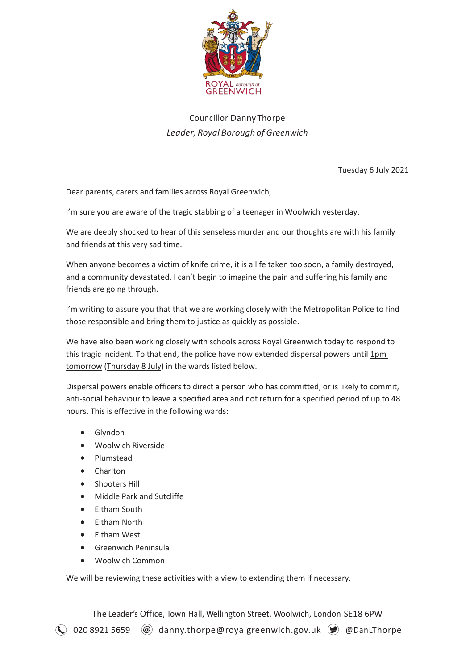

## Councillor Danny Thorpe *Leader, Royal Borough of Greenwich*

Tuesday 6 July 2021

Dear parents, carers and families across Royal Greenwich,

I'm sure you are aware of the tragic stabbing of a teenager in Woolwich yesterday.

We are deeply shocked to hear of this senseless murder and our thoughts are with his family and friends at this very sad time.

When anyone becomes a victim of knife crime, it is a life taken too soon, a family destroyed, and a community devastated. I can't begin to imagine the pain and suffering his family and friends are going through.

I'm writing to assure you that that we are working closely with the Metropolitan Police to find those responsible and bring them to justice as quickly as possible.

We have also been working closely with schools across Royal Greenwich today to respond to this tragic incident. To that end, the police have now extended dispersal powers until 1pm tomorrow (Thursday 8 July) in the wards listed below.

Dispersal powers enable officers to direct a person who has committed, or is likely to commit, anti-social behaviour to leave a specified area and not return for a specified period of up to 48 hours. This is effective in the following wards:

- Glyndon
- Woolwich Riverside
- Plumstead
- Charlton
- Shooters Hill
- Middle Park and Sutcliffe
- Eltham South
- Eltham North
- Eltham West
- Greenwich Peninsula
- Woolwich Common

We will be reviewing these activities with a view to extending them if necessary.

The Leader's Office, Town Hall, Wellington Street, Woolwich, London SE18 6PW